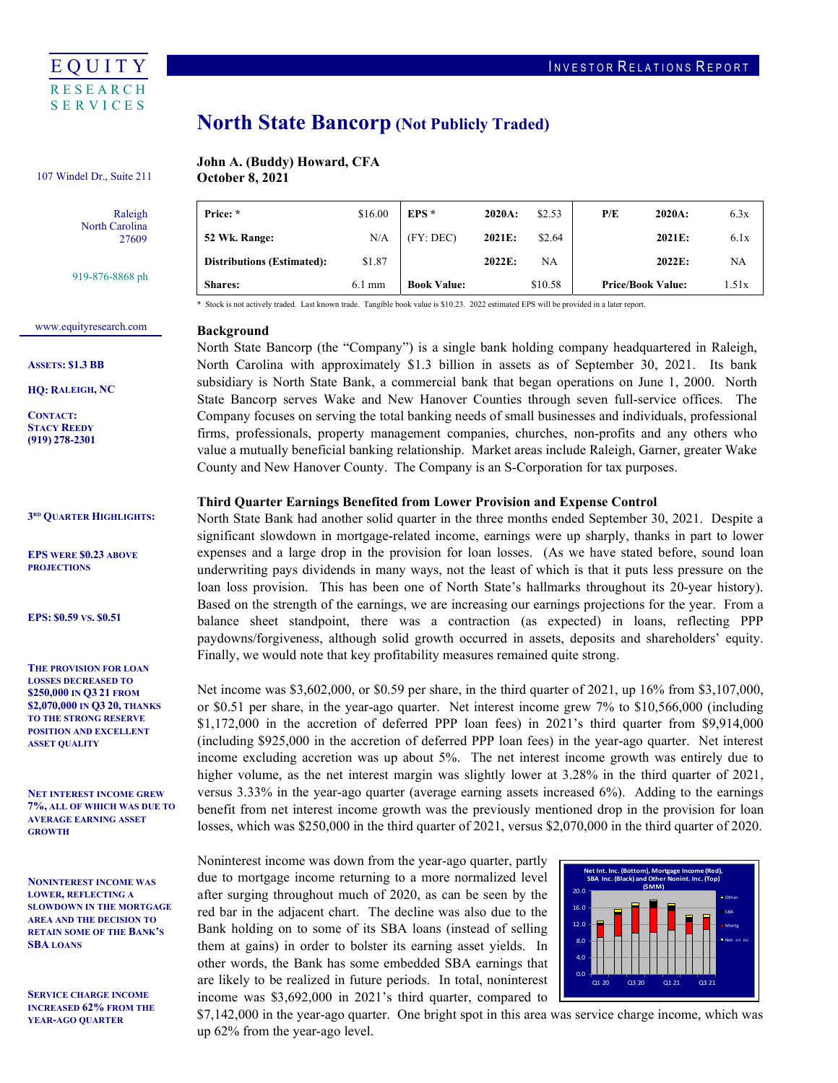

# North State Bancorp (Not Publicly Traded)

#### John A. (Buddy) Howard, CFA **October 8, 2021** 107 Windel Dr., Suite 211

Raleigh North Carolina 27609

919-876-8868 ph

| Price: *                          | \$16.00          | $EPS*$             | 2020A: | \$2.53  | P/E                      | 2020A: | 6.3x  |
|-----------------------------------|------------------|--------------------|--------|---------|--------------------------|--------|-------|
| 52 Wk. Range:                     | N/A              | (FY:DEC)           | 2021E: | \$2.64  |                          | 2021E: | 6.1x  |
| <b>Distributions (Estimated):</b> | \$1.87           |                    | 2022E: | NA      |                          | 2022E: | NA    |
| <b>Shares:</b>                    | $6.1 \text{ mm}$ | <b>Book Value:</b> |        | \$10.58 | <b>Price/Book Value:</b> |        | 1.51x |

\* Stock is not actively traded. Last known trade. Tangible book value is \$10.23. 2022 estimated EPS will be provided in a later report.

# <www.equityresearch.com>

ASSETS: \$1.3 BB

HQ: RALEIGH, NC

CONTACT: STACY REEDY (919) 278-2301

3RD QUARTER HIGHLIGHTS:

 EPS WERE \$0.23 ABOVE **PROJECTIONS** 

EPS: \$0.59 VS. \$0.51

 THE PROVISION FOR LOAN LOSSES DECREASED TO \$250,000 IN Q3 21 FROM \$2,070,000 IN Q3 20, THANKS TO THE STRONG RESERVE POSITION AND EXCELLENT ASSET QUALITY

 NET INTEREST INCOME GREW 7%, ALL OF WHICH WAS DUE TO AVERAGE EARNING ASSET **GROWTH** 

 NONINTEREST INCOME WAS LOWER, REFLECTING A SLOWDOWN IN THE MORTGAGE AREA AND THE DECISION TO RETAIN SOME OF THE BANK'S SRA LOANS

 SERVICE CHARGE INCOME INCREASED 62% FROM THE YEAR-AGO QUARTER

# Background

 North State Bancorp (the "Company") is a single bank holding company headquartered in Raleigh, North Carolina with approximately \$1.3 billion in assets as of September 30, 2021. Its bank subsidiary is North State Bank, a commercial bank that began operations on June 1, 2000. North State Bancorp serves Wake and New Hanover Counties through seven full-service offices. The Company focuses on serving the total banking needs of small businesses and individuals, professional firms, professionals, property management companies, churches, non-profits and any others who value a mutually beneficial banking relationship. Market areas include Raleigh, Garner, greater Wake County and New Hanover County. The Company is an S-Corporation for tax purposes.

### Third Quarter Earnings Benefited from Lower Provision and Expense Control

 North State Bank had another solid quarter in the three months ended September 30, 2021. Despite a significant slowdown in mortgage-related income, earnings were up sharply, thanks in part to lower expenses and a large drop in the provision for loan losses. (As we have stated before, sound loan underwriting pays dividends in many ways, not the least of which is that it puts less pressure on the loan loss provision. This has been one of North State's hallmarks throughout its 20-year history). Based on the strength of the earnings, we are increasing our earnings projections for the year. From a balance sheet standpoint, there was a contraction (as expected) in loans, reflecting PPP paydowns/forgiveness, although solid growth occurred in assets, deposits and shareholders' equity. Finally, we would note that key profitability measures remained quite strong.

 Net income was \$3,602,000, or \$0.59 per share, in the third quarter of 2021, up 16% from \$3,107,000, or \$0.51 per share, in the year-ago quarter. Net interest income grew 7% to \$10,566,000 (including \$1,172,000 in the accretion of deferred PPP loan fees) in 2021's third quarter from \$9,914,000 (including \$925,000 in the accretion of deferred PPP loan fees) in the year-ago quarter. Net interest income excluding accretion was up about 5%. The net interest income growth was entirely due to higher volume, as the net interest margin was slightly lower at 3.28% in the third quarter of 2021, versus 3.33% in the year-ago quarter (average earning assets increased 6%). Adding to the earnings benefit from net interest income growth was the previously mentioned drop in the provision for loan losses, which was \$250,000 in the third quarter of 2021, versus \$2,070,000 in the third quarter of 2020.

 Noninterest income was down from the year-ago quarter, partly due to mortgage income returning to a more normalized level after surging throughout much of 2020, as can be seen by the red bar in the adjacent chart. The decline was also due to the Bank holding on to some of its SBA loans (instead of selling them at gains) in order to bolster its earning asset yields. In other words, the Bank has some embedded SBA earnings that are likely to be realized in future periods. In total, noninterest income was \$3,692,000 in 2021's third quarter, compared to



 \$7,142,000 in the year-ago quarter. One bright spot in this area was service charge income, which was up 62% from the year-ago level.